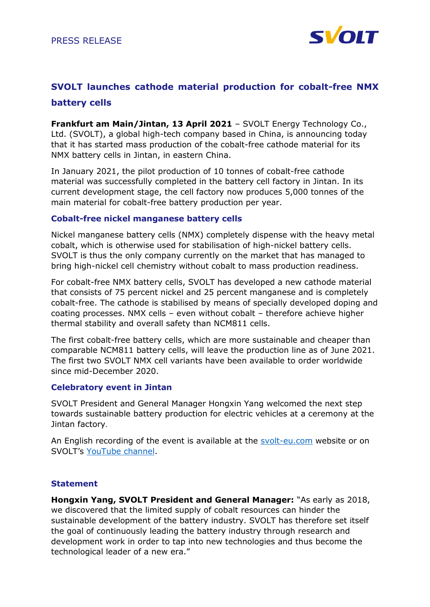

# **SVOLT launches cathode material production for cobalt-free NMX battery cells**

**Frankfurt am Main/Jintan, 13 April 2021** – SVOLT Energy Technology Co., Ltd. (SVOLT), a global high-tech company based in China, is announcing today that it has started mass production of the cobalt-free cathode material for its NMX battery cells in Jintan, in eastern China.

In January 2021, the pilot production of 10 tonnes of cobalt-free cathode material was successfully completed in the battery cell factory in Jintan. In its current development stage, the cell factory now produces 5,000 tonnes of the main material for cobalt-free battery production per year.

# **Cobalt-free nickel manganese battery cells**

Nickel manganese battery cells (NMX) completely dispense with the heavy metal cobalt, which is otherwise used for stabilisation of high-nickel battery cells. SVOLT is thus the only company currently on the market that has managed to bring high-nickel cell chemistry without cobalt to mass production readiness.

For cobalt-free NMX battery cells, SVOLT has developed a new cathode material that consists of 75 percent nickel and 25 percent manganese and is completely cobalt-free. The cathode is stabilised by means of specially developed doping and coating processes. NMX cells – even without cobalt – therefore achieve higher thermal stability and overall safety than NCM811 cells.

The first cobalt-free battery cells, which are more sustainable and cheaper than comparable NCM811 battery cells, will leave the production line as of June 2021. The first two SVOLT NMX cell variants have been available to order worldwide since mid-December 2020.

# **Celebratory event in Jintan**

SVOLT President and General Manager Hongxin Yang welcomed the next step towards sustainable battery production for electric vehicles at a ceremony at the Jintan factory.

An English recording of the event is available at the [svolt-eu.com](https://svolt-eu.com/) website or on SVOLT's [YouTube channel.](https://www.youtube.com/channel/UC8kwQeh9h3mfETTi5CmGTZA)

# **Statement**

**Hongxin Yang, SVOLT President and General Manager:** "As early as 2018, we discovered that the limited supply of cobalt resources can hinder the sustainable development of the battery industry. SVOLT has therefore set itself the goal of continuously leading the battery industry through research and development work in order to tap into new technologies and thus become the technological leader of a new era."